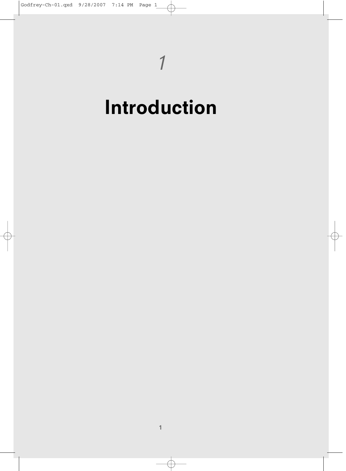## **Introduction**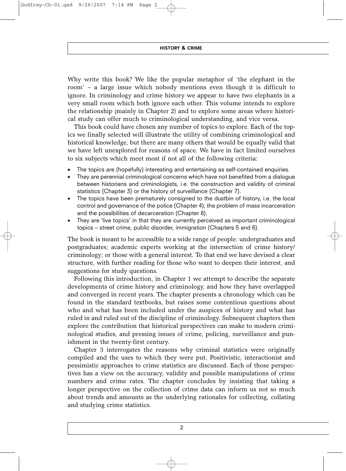**HISTORY & CRIME**

Why write this book? We like the popular metaphor of 'the elephant in the room' – a large issue which nobody mentions even though it is difficult to ignore. In criminology and crime history we appear to have two elephants in a very small room which both ignore each other. This volume intends to explore the relationship (mainly in Chapter 2) and to explore some areas where historical study can offer much to criminological understanding, and vice versa.

This book could have chosen any number of topics to explore. Each of the topics we finally selected will illustrate the utility of combining criminological and historical knowledge, but there are many others that would be equally valid that we have left unexplored for reasons of space. We have in fact limited ourselves to six subjects which meet most if not all of the following criteria:

- The topics are (hopefully) interesting and entertaining as self-contained enquiries.
- They are perennial criminological concerns which have not benefited from a dialogue between historians and criminologists, i.e. the construction and validity of criminal statistics (Chapter 3) or the history of surveillance (Chapter 7).
- The topics have been prematurely consigned to the dustbin of history, i.e. the local control and governance of the police (Chapter 4); the problem of mass incarceration and the possibilities of decarceration (Chapter 8).
- They are 'live topics' in that they are currently perceived as important criminological topics – street crime, public disorder, immigration (Chapters 5 and 6).

The book is meant to be accessible to a wide range of people: undergraduates and postgraduates; academic experts working at the intersection of crime history/ criminology; or those with a general interest. To that end we have devised a clear structure, with further reading for those who want to deepen their interest, and suggestions for study questions.

Following this introduction, in Chapter 1 we attempt to describe the separate developments of crime history and criminology, and how they have overlapped and converged in recent years. The chapter presents a chronology which can be found in the standard textbooks, but raises some contentious questions about who and what has been included under the auspices of history and what has ruled in and ruled out of the discipline of criminology. Subsequent chapters then explore the contribution that historical perspectives can make to modern criminological studies, and pressing issues of crime, policing, surveillance and punishment in the twenty-first century.

Chapter 3 interrogates the reasons why criminal statistics were originally compiled and the uses to which they were put. Positivistic, interactionist and pessimistic approaches to crime statistics are discussed. Each of those perspectives has a view on the accuracy, validity and possible manipulations of crime numbers and crime rates. The chapter concludes by insisting that taking a longer perspective on the collection of crime data can inform us not so much about trends and amounts as the underlying rationales for collecting, collating and studying crime statistics.

**2**